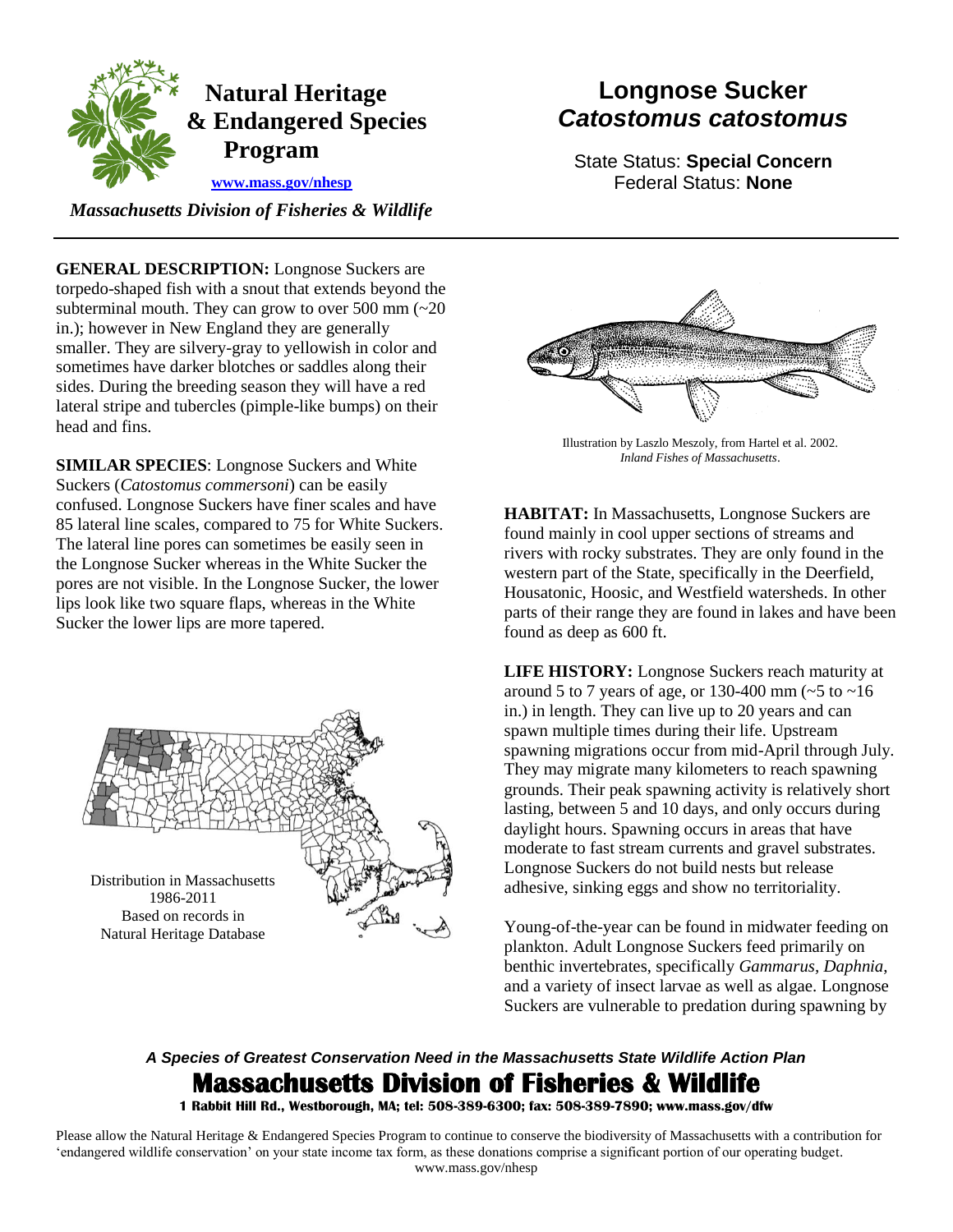

## **Longnose Sucker** *Catostomus catostomus*

State Status: **Special Concern** Federal Status: **None**

 *Massachusetts Division of Fisheries & Wildlife* 

**GENERAL DESCRIPTION:** Longnose Suckers are torpedo-shaped fish with a snout that extends beyond the subterminal mouth. They can grow to over 500 mm  $\left(\sim 20\right)$ in.); however in New England they are generally smaller. They are silvery-gray to yellowish in color and sometimes have darker blotches or saddles along their sides. During the breeding season they will have a red lateral stripe and tubercles (pimple-like bumps) on their head and fins.

**SIMILAR SPECIES**: Longnose Suckers and White Suckers (*Catostomus commersoni*) can be easily confused. Longnose Suckers have finer scales and have 85 lateral line scales, compared to 75 for White Suckers. The lateral line pores can sometimes be easily seen in the Longnose Sucker whereas in the White Sucker the pores are not visible. In the Longnose Sucker, the lower lips look like two square flaps, whereas in the White Sucker the lower lips are more tapered.





Illustration by Laszlo Meszoly, from Hartel et al. 2002. *Inland Fishes of Massachusetts*.

**HABITAT:** In Massachusetts, Longnose Suckers are found mainly in cool upper sections of streams and rivers with rocky substrates. They are only found in the western part of the State, specifically in the Deerfield, Housatonic, Hoosic, and Westfield watersheds. In other parts of their range they are found in lakes and have been found as deep as 600 ft.

**LIFE HISTORY:** Longnose Suckers reach maturity at around 5 to 7 years of age, or 130-400 mm  $\left(\sim 5 \text{ to } -16\right)$ in.) in length. They can live up to 20 years and can spawn multiple times during their life. Upstream spawning migrations occur from mid-April through July. They may migrate many kilometers to reach spawning grounds. Their peak spawning activity is relatively short lasting, between 5 and 10 days, and only occurs during daylight hours. Spawning occurs in areas that have moderate to fast stream currents and gravel substrates. Longnose Suckers do not build nests but release adhesive, sinking eggs and show no territoriality.

Young-of-the-year can be found in midwater feeding on plankton. Adult Longnose Suckers feed primarily on benthic invertebrates, specifically *Gammarus, Daphnia*, and a variety of insect larvae as well as algae. Longnose Suckers are vulnerable to predation during spawning by

## *A Species of Greatest Conservation Need in the Massachusetts State Wildlife Action Plan*  **Massachusetts Division of Fisheries & Wildlife**

**1 Rabbit Hill Rd., Westborough, MA; tel: 508-389-6300; fax: 508-389-7890; www.mass.gov/dfw** 

Please allow the Natural Heritage & Endangered Species Program to continue to conserve the biodiversity of Massachusetts with a contribution for 'endangered wildlife conservation' on your state income tax form, as these donations comprise a significant portion of our operating budget. www.mass.gov/nhesp